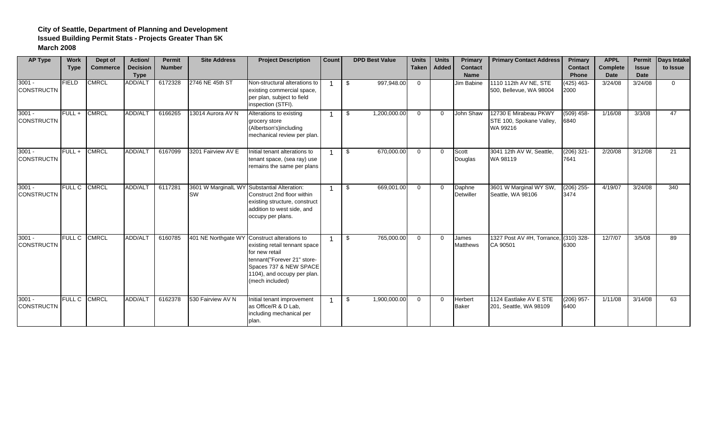| <b>AP Type</b>                | <b>Work</b>   | Dept of         | Action/         | <b>Permit</b> | <b>Site Address</b>              | <b>Project Description</b>                                                                                                                                                            | Count | <b>DPD Best Value</b> | <b>Units</b> | <b>Units</b> | Primary                    | <b>Primary Contact Address</b>                                | Primary              | <b>APPL</b>     | <b>Permit</b> | <b>Days Intake</b> |
|-------------------------------|---------------|-----------------|-----------------|---------------|----------------------------------|---------------------------------------------------------------------------------------------------------------------------------------------------------------------------------------|-------|-----------------------|--------------|--------------|----------------------------|---------------------------------------------------------------|----------------------|-----------------|---------------|--------------------|
|                               | <b>Type</b>   | <b>Commerce</b> | <b>Decision</b> | <b>Number</b> |                                  |                                                                                                                                                                                       |       |                       | <b>Taken</b> | <b>Added</b> | <b>Contact</b>             |                                                               | <b>Contact</b>       | <b>Complete</b> | <b>Issue</b>  | to Issue           |
|                               |               |                 | <b>Type</b>     |               |                                  |                                                                                                                                                                                       |       |                       |              |              | <b>Name</b>                |                                                               | <b>Phone</b>         | <b>Date</b>     | <b>Date</b>   |                    |
| $3001 -$<br><b>CONSTRUCTN</b> | FIELD         | <b>CMRCL</b>    | ADD/ALT         | 6172328       | 2746 NE 45th ST                  | Non-structural alterations to<br>existing commercial space,<br>per plan, subject to field<br>inspection (STFI).                                                                       |       | 997,948.00<br>\$      | $\Omega$     |              | Jim Babine                 | 1110 112th AV NE, STE<br>500, Bellevue, WA 98004              | $(425)$ 463-<br>2000 | 3/24/08         | 3/24/08       | $\Omega$           |
| $3001 -$<br><b>CONSTRUCTN</b> | $FULL +$      | <b>CMRCL</b>    | ADD/ALT         | 6166265       | 13014 Aurora AV N                | Alterations to existing<br>grocery store<br>(Albertson's)including<br>mechanical review per plan.                                                                                     |       | 1,200,000.00<br>\$    | $\Omega$     | $\Omega$     | John Shaw                  | 12730 E Mirabeau PKWY<br>STE 100, Spokane Valley,<br>WA 99216 | $(509)$ 458-<br>6840 | 1/16/08         | 3/3/08        | 47                 |
| $3001 -$<br><b>CONSTRUCTN</b> | FULL+         | <b>CMRCL</b>    | ADD/ALT         | 6167099       | 3201 Fairview AV E               | Initial tenant alterations to<br>tenant space, (sea ray) use<br>remains the same per plans                                                                                            |       | 670,000.00<br>\$.     | $\Omega$     | $\Omega$     | Scott<br>Douglas           | 3041 12th AV W. Seattle.<br>WA 98119                          | $(206)$ 321-<br>7641 | 2/20/08         | 3/12/08       | 21                 |
| $3001 -$<br><b>CONSTRUCTN</b> | <b>FULL C</b> | <b>CMRCL</b>    | <b>ADD/ALT</b>  | 6117281       | 3601 W MarginalL WY<br><b>SW</b> | Substantial Alteration:<br>Construct 2nd floor within<br>existing structure, construct<br>addition to west side, and<br>occupy per plans.                                             |       | 669,001.00<br>\$      | $\Omega$     | $\Omega$     | Daphne<br><b>Detwiller</b> | 3601 W Marginal WY SW,<br>Seattle, WA 98106                   | $(206)$ 255-<br>3474 | 4/19/07         | 3/24/08       | 340                |
| $3001 -$<br><b>CONSTRUCTN</b> | <b>FULL C</b> | <b>CMRCL</b>    | ADD/ALT         | 6160785       | 401 NE Northgate WY              | Construct alterations to<br>existing retail tennant space<br>for new retail<br>tennant("Forever 21" store-<br>Spaces 737 & NEW SPACE<br>1104), and occupy per plan.<br>mech included) |       | 765,000.00<br>\$      | $\Omega$     | $\Omega$     | James<br><b>Matthews</b>   | 1327 Post AV #H, Torrance,<br>CA 90501                        | $(310)$ 328-<br>6300 | 12/7/07         | 3/5/08        | 89                 |
| $3001 -$<br><b>CONSTRUCTN</b> | <b>FULL C</b> | <b>CMRCL</b>    | <b>ADD/ALT</b>  | 6162378       | 530 Fairview AV N                | Initial tenant improvement<br>as Office/R & D Lab,<br>including mechanical per<br>plan.                                                                                               |       | 1,900,000.00<br>\$    | $\Omega$     | $\Omega$     | Herbert<br><b>Baker</b>    | 1124 Eastlake AV E STE<br>201, Seattle, WA 98109              | $(206)$ 957-<br>6400 | 1/11/08         | 3/14/08       | 63                 |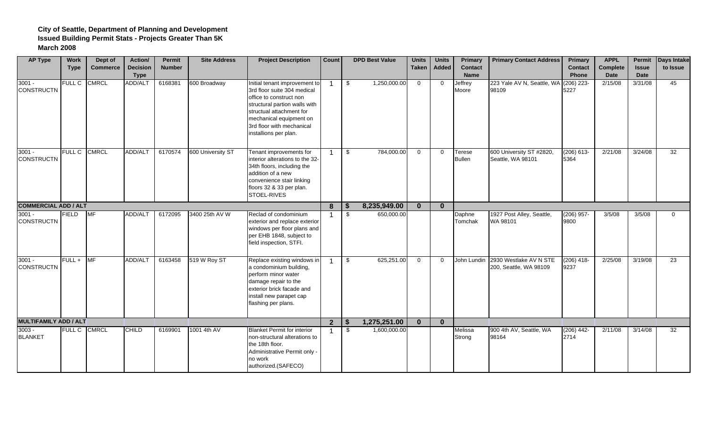| <b>AP Type</b>                | <b>Work</b><br><b>Type</b> | Dept of<br><b>Commerce</b> | Action/<br><b>Decision</b><br><b>Type</b> | Permit<br><b>Number</b> | <b>Site Address</b> | <b>Project Description</b>                                                                                                                                                                                                            | <b>Count</b>   |      | <b>DPD Best Value</b> | <b>Units</b><br><b>Taken</b> | <b>Units</b><br>Added | Primary<br><b>Contact</b><br><b>Name</b> | <b>Primary Contact Address</b>                               | Primary<br><b>Contact</b><br><b>Phone</b> | <b>APPL</b><br>Complete<br>Date | <b>Issue</b><br><b>Date</b> | Permit Days Intake<br>to Issue |
|-------------------------------|----------------------------|----------------------------|-------------------------------------------|-------------------------|---------------------|---------------------------------------------------------------------------------------------------------------------------------------------------------------------------------------------------------------------------------------|----------------|------|-----------------------|------------------------------|-----------------------|------------------------------------------|--------------------------------------------------------------|-------------------------------------------|---------------------------------|-----------------------------|--------------------------------|
| $3001 -$<br><b>CONSTRUCTN</b> | <b>FULL C</b>              | <b>CMRCL</b>               | ADD/ALT                                   | 6168381                 | 600 Broadway        | Initial tenant improvement to<br>3rd floor suite 304 medical<br>office to construct non<br>structural partion walls with<br>structual attachment for<br>mechanical equipment on<br>3rd floor with mechanical<br>installions per plan. |                | \$   | 1,250,000.00          | $\mathbf 0$                  | $\overline{0}$        | Jeffrey<br>Moore                         | 223 Yale AV N, Seattle, WA<br>98109                          | $(206)$ 223-<br>5227                      | 2/15/08                         | 3/31/08                     | 45                             |
| $3001 -$<br><b>CONSTRUCTN</b> | <b>FULL C</b>              | <b>CMRCL</b>               | <b>ADD/ALT</b>                            | 6170574                 | 600 University ST   | Tenant improvements for<br>interior alterations to the 32-<br>34th floors, including the<br>addition of a new<br>convenience stair linking<br>floors 32 & 33 per plan.<br>STOEL-RIVES                                                 |                | \$   | 784,000.00            | $\mathbf 0$                  | $\mathbf{0}$          | Terese<br><b>Bullen</b>                  | 600 University ST #2820,<br>Seattle, WA 98101                | $(206) 613 -$<br>5364                     | 2/21/08                         | 3/24/08                     | 32                             |
| <b>COMMERCIAL ADD / ALT</b>   |                            |                            |                                           |                         |                     |                                                                                                                                                                                                                                       | 8              | - 9  | 8,235,949.00          | $\bf{0}$                     | $\bf{0}$              |                                          |                                                              |                                           |                                 |                             |                                |
| $3001 -$<br><b>CONSTRUCTN</b> | <b>FIELD</b>               | <b>MF</b>                  | ADD/ALT                                   | 6172095                 | 3400 25th AV W      | Reclad of condominium<br>exterior and replace exterior<br>windows per floor plans and<br>per EHB 1848, subject to<br>field inspection, STFI.                                                                                          |                | \$   | 650,000.00            |                              |                       | Daphne<br>Tomchak                        | 1927 Post Alley, Seattle,<br>WA 98101                        | $(206)$ 957-<br>9800                      | 3/5/08                          | 3/5/08                      | $\Omega$                       |
| $3001 -$<br><b>CONSTRUCTN</b> | FULL+                      | <b>MF</b>                  | ADD/ALT                                   | 6163458                 | 519 W Roy ST        | Replace existing windows in<br>a condominium building,<br>perform minor water<br>damage repair to the<br>exterior brick facade and<br>install new parapet cap<br>flashing per plans.                                                  |                | \$   | 625,251.00            | $\overline{0}$               | $\mathbf{0}$          |                                          | John Lundin 2930 Westlake AV N STE<br>200, Seattle, WA 98109 | $(206)$ 418-<br>9237                      | 2/25/08                         | 3/19/08                     | 23                             |
| <b>MULTIFAMILY ADD / ALT</b>  |                            |                            |                                           |                         |                     |                                                                                                                                                                                                                                       | $\overline{2}$ | - \$ | 1,275,251.00          | $\mathbf{0}$                 | $\bf{0}$              |                                          |                                                              |                                           |                                 |                             |                                |
| $3003 -$<br><b>BLANKET</b>    | FULL C CMRCL               |                            | <b>CHILD</b>                              | 6169901                 | 1001 4th AV         | <b>Blanket Permit for interior</b><br>non-structural alterations to<br>the 18th floor.<br>Administrative Permit only -<br>no work<br>authorized.(SAFECO)                                                                              |                | \$   | 1,600,000.00          |                              |                       | Melissa<br>Strong                        | 900 4th AV, Seattle, WA<br>98164                             | $(206)$ 442-<br>2714                      | 2/11/08                         | 3/14/08                     | 32                             |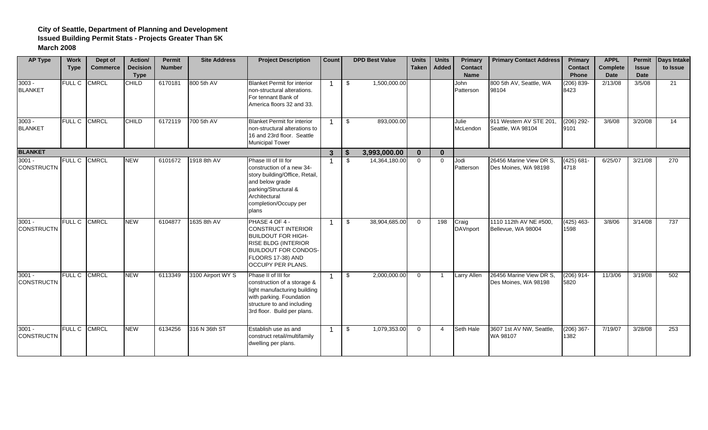| <b>AP Type</b>                | <b>Work</b><br><b>Type</b> | Dept of<br><b>Commerce</b> | Action/<br><b>Decision</b><br><b>Type</b> | <b>Permit</b><br><b>Number</b> | <b>Site Address</b> | <b>Project Description</b>                                                                                                                                                        | Count        | <b>DPD Best Value</b> | <b>Units</b><br><b>Taken</b> | <b>Units</b><br>Added | Primary<br><b>Contact</b><br><b>Name</b> | <b>Primary Contact Address</b>                  | Primary<br><b>Contact</b><br><b>Phone</b> | <b>APPL</b><br>Complete<br><b>Date</b> | Permit<br><b>Issue</b><br>Date | Days Intake<br>to Issue |
|-------------------------------|----------------------------|----------------------------|-------------------------------------------|--------------------------------|---------------------|-----------------------------------------------------------------------------------------------------------------------------------------------------------------------------------|--------------|-----------------------|------------------------------|-----------------------|------------------------------------------|-------------------------------------------------|-------------------------------------------|----------------------------------------|--------------------------------|-------------------------|
| $3003 -$<br><b>BLANKET</b>    | <b>FULL C</b>              | <b>CMRCL</b>               | <b>CHILD</b>                              | 6170181                        | 800 5th AV          | <b>Blanket Permit for interior</b><br>non-structural alterations.<br>For tennant Bank of<br>America floors 32 and 33.                                                             |              | \$<br>1,500,000.00    |                              |                       | John<br>Patterson                        | 800 5th AV, Seattle, WA<br>98104                | $(206) 839 -$<br>8423                     | 2/13/08                                | 3/5/08                         | 21                      |
| $3003 -$<br><b>BLANKET</b>    | <b>FULL C</b>              | <b>CMRCL</b>               | <b>CHILD</b>                              | 6172119                        | 700 5th AV          | <b>Blanket Permit for interior</b><br>non-structural alterations to<br>16 and 23rd floor. Seattle<br><b>Municipal Tower</b>                                                       |              | \$<br>893,000.00      |                              |                       | Julie<br>McLendon                        | 911 Western AV STE 201.<br>Seattle, WA 98104    | $(206) 292 -$<br>9101                     | 3/6/08                                 | 3/20/08                        | 14                      |
| <b>BLANKET</b>                |                            |                            |                                           |                                |                     |                                                                                                                                                                                   | $\mathbf{3}$ | 3,993,000.00          | $\bf{0}$                     | $\bf{0}$              |                                          |                                                 |                                           |                                        |                                |                         |
| $3001 -$<br><b>CONSTRUCTN</b> | <b>FULL C</b>              | <b>CMRCL</b>               | <b>NEW</b>                                | 6101672                        | 1918 8th AV         | Phase III of III for<br>construction of a new 34-<br>story building/Office, Retail,<br>and below grade<br>parking/Structural &<br>Architectural<br>completion/Occupy per<br>plans |              | \$<br>14,364,180.00   | $\Omega$                     | $\Omega$              | Jodi<br>Patterson                        | 26456 Marine View DR S.<br>Des Moines, WA 98198 | $(425) 681 -$<br>4718                     | 6/25/07                                | 3/21/08                        | 270                     |
| $3001 -$<br><b>CONSTRUCTN</b> | <b>FULL C</b>              | <b>CMRCL</b>               | <b>NEW</b>                                | 6104877                        | 1635 8th AV         | PHASE 4 OF 4 -<br><b>CONSTRUCT INTERIOR</b><br><b>BUILDOUT FOR HIGH-</b><br>RISE BLDG (INTERIOR<br><b>BUILDOUT FOR CONDOS-</b><br>FLOORS 17-38) AND<br><b>OCCUPY PER PLANS.</b>   |              | \$<br>38,904,685.00   | $\Omega$                     | 198                   | Craig<br><b>DAVnport</b>                 | 1110 112th AV NE #500,<br>Bellevue, WA 98004    | $(425)$ 463-<br>1598                      | 3/8/06                                 | 3/14/08                        | 737                     |
| $3001 -$<br><b>CONSTRUCTN</b> | <b>FULL C</b>              | <b>CMRCL</b>               | <b>NEW</b>                                | 6113349                        | 3100 Airport WY S   | Phase II of III for<br>construction of a storage &<br>light manufacturing building<br>with parking. Foundation<br>structure to and including<br>3rd floor. Build per plans.       |              | \$<br>2,000,000.00    | $\Omega$                     | $\overline{1}$        | Larry Allen                              | 26456 Marine View DR S,<br>Des Moines, WA 98198 | $(206)$ 914-<br>5820                      | 11/3/06                                | 3/19/08                        | 502                     |
| $3001 -$<br><b>CONSTRUCTN</b> | <b>FULL C</b>              | <b>CMRCL</b>               | <b>NEW</b>                                | 6134256                        | 316 N 36th ST       | Establish use as and<br>construct retail/multifamily<br>dwelling per plans.                                                                                                       |              | \$<br>1.079.353.00    | $\mathbf 0$                  | 4                     | Seth Hale                                | 3607 1st AV NW. Seattle.<br>WA 98107            | $(206)$ 367-<br>1382                      | 7/19/07                                | 3/28/08                        | 253                     |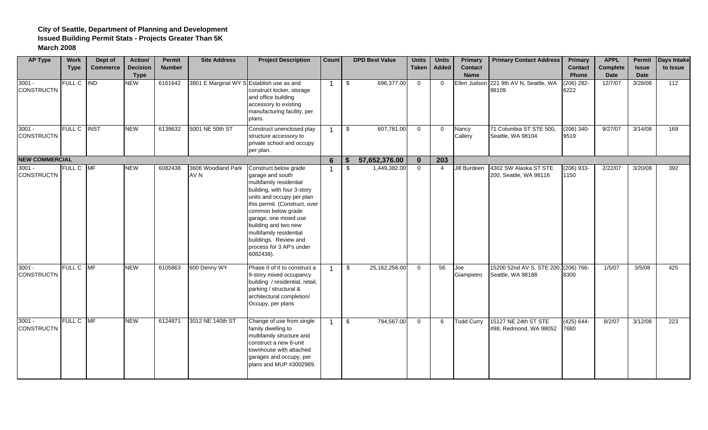| <b>AP Type</b>                | <b>Work</b>        | Dept of         | Action/                        | Permit        | <b>Site Address</b>                       | <b>Project Description</b>                                                                                                                                                                                                                                                                                                            | <b>Count</b>   | <b>DPD Best Value</b> | <b>Units</b> | <b>Units</b>   | <b>Primary</b>                | <b>Primary Contact Address</b>                  | Primary                 | <b>APPL</b>             |                      | <b>Permit</b> Days Intake |
|-------------------------------|--------------------|-----------------|--------------------------------|---------------|-------------------------------------------|---------------------------------------------------------------------------------------------------------------------------------------------------------------------------------------------------------------------------------------------------------------------------------------------------------------------------------------|----------------|-----------------------|--------------|----------------|-------------------------------|-------------------------------------------------|-------------------------|-------------------------|----------------------|---------------------------|
|                               | <b>Type</b>        | <b>Commerce</b> | <b>Decision</b><br><b>Type</b> | <b>Number</b> |                                           |                                                                                                                                                                                                                                                                                                                                       |                |                       | <b>Taken</b> | Added          | <b>Contact</b><br><b>Name</b> |                                                 | <b>Contact</b><br>Phone | Complete<br><b>Date</b> | <b>Issue</b><br>Date | to Issue                  |
| $3001 -$<br><b>CONSTRUCTN</b> | <b>FULL C</b>      | <b>IND</b>      | <b>NEW</b>                     | 6161642       | 3801 E Marginal WY S Establish use as and | construct locker, storage<br>and office building<br>accessory to existing<br>manufacturing facility, per<br>plans.                                                                                                                                                                                                                    | -1             | \$<br>696,377.00      | $\mathbf 0$  | $\Omega$       |                               | Ellen Judson 221 9th AV N, Seattle, WA<br>98109 | $(206)$ 282-<br>6222    | 12/7/07                 | 3/28/08              | 112                       |
| $3001 -$<br><b>CONSTRUCTN</b> | <b>FULL C INST</b> |                 | <b>NEW</b>                     | 6139632       | 5001 NE 50th ST                           | Construct unenclosed play<br>structure accessory to<br>private school and occupy<br>per plan.                                                                                                                                                                                                                                         |                | \$<br>607,781.00      | $\mathbf 0$  | $\overline{0}$ | Nancy<br>Callery              | 71 Columbia ST STE 500,<br>Seattle, WA 98104    | $(206)$ 340-<br>9519    | 9/27/07                 | 3/14/08              | 169                       |
| <b>NEW COMMERCIAL</b>         |                    |                 |                                |               |                                           |                                                                                                                                                                                                                                                                                                                                       | 6              | 57,652,376.00         | $\mathbf{0}$ | 203            |                               |                                                 |                         |                         |                      |                           |
| $3001 -$<br><b>CONSTRUCTN</b> | FULL C MF          |                 | <b>NEW</b>                     | 6082438       | 3606 Woodland Park<br>AV N                | Construct below grade<br>garage and south<br>multifamily residential<br>building, with four 3-story<br>units and occupy per plan<br>this permit. (Construct, over<br>common below grade<br>garage, one mixed use<br>building and two new<br>multifamily residential<br>buildings. Review and<br>process for 3 AP's under<br>6082438). |                | \$<br>1,449,382.00    | $\mathbf 0$  | $\overline{4}$ | Jill Burdeen                  | 4302 SW Alaska ST STE<br>200, Seattle, WA 98116 | $(206)$ 933-<br>1150    | 2/22/07                 | 3/20/08              | 392                       |
| $3001 -$<br><b>CONSTRUCTN</b> | FULL C MF          |                 | <b>NEW</b>                     | 6105863       | 600 Denny WY                              | Phase II of II to construct a<br>9-story mixed occupancy<br>building / residential, retail,<br>parking / structural &<br>architectural completion/<br>Occupy, per plans                                                                                                                                                               |                | \$<br>25,162,256.00   | $\Omega$     | 56             | Joe<br>Giampietro             | 15200 52nd AV S, STE 200,<br>Seattle, WA 98188  | $(206) 766 -$<br>8300   | 1/5/07                  | 3/5/08               | 425                       |
| $3001 -$<br><b>CONSTRUCTN</b> | FULL C MF          |                 | <b>NEW</b>                     | 6124871       | 3012 NE 140th ST                          | Change of use from single<br>family dwelling to<br>multifamily structure and<br>construct a new 6-unit<br>townhouse with attached<br>garages and occupy, per<br>plans and MUP #3002989.                                                                                                                                               | $\overline{1}$ | \$<br>794,567.00      | $\mathbf 0$  | 6              | <b>Todd Curry</b>             | 15127 NE 24th ST STE<br>#98, Redmond, WA 98052  | $(425) 644 -$<br>7680   | 8/2/07                  | 3/12/08              | $\overline{223}$          |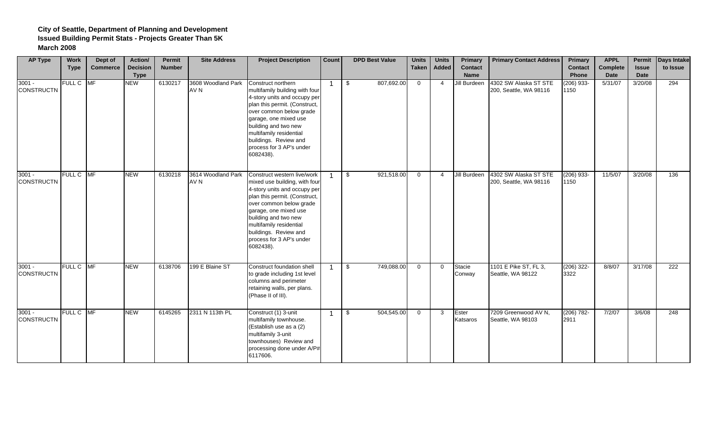| <b>AP Type</b>                | Work<br><b>Type</b> | Dept of<br><b>Commerce</b> | Action/<br><b>Decision</b> | Permit<br><b>Number</b> | <b>Site Address</b>        | <b>Project Description</b>                                                                                                                                                                                                                                                                             | Count          | <b>DPD Best Value</b> | <b>Units</b><br><b>Taken</b> | <b>Units</b><br>Added | <b>Primary</b><br>Contact   | <b>Primary Contact Address</b>                  | Primary<br><b>Contact</b>     | <b>APPL</b><br>Complete | <b>Issue</b>    | Permit Days Intake<br>to Issue |
|-------------------------------|---------------------|----------------------------|----------------------------|-------------------------|----------------------------|--------------------------------------------------------------------------------------------------------------------------------------------------------------------------------------------------------------------------------------------------------------------------------------------------------|----------------|-----------------------|------------------------------|-----------------------|-----------------------------|-------------------------------------------------|-------------------------------|-------------------------|-----------------|--------------------------------|
| $3001 -$<br><b>CONSTRUCTN</b> | FULL C MF           |                            | <b>Type</b><br><b>NEW</b>  | 6130217                 | 3608 Woodland Park<br>AV N | Construct northern<br>multifamily building with four<br>4-story units and occupy per<br>plan this permit. (Construct,<br>over common below grade<br>garage, one mixed use<br>building and two new<br>multifamily residential<br>buildings. Review and<br>process for 3 AP's under<br>6082438).         | $\overline{1}$ | 807,692.00<br>\$      | $\overline{0}$               | $\overline{4}$        | <b>Name</b><br>Jill Burdeen | 4302 SW Alaska ST STE<br>200, Seattle, WA 98116 | Phone<br>$(206)$ 933-<br>1150 | <b>Date</b><br>5/31/07  | Date<br>3/20/08 | 294                            |
| $3001 -$<br><b>CONSTRUCTN</b> | FULL C MF           |                            | <b>NEW</b>                 | 6130218                 | 3614 Woodland Park<br>AV N | Construct western live/work<br>mixed use building, with four<br>4-story units and occupy per<br>plan this permit. (Construct,<br>over common below grade<br>garage, one mixed use<br>building and two new<br>multifamily residential<br>buildings. Review and<br>process for 3 AP's under<br>6082438). | $\overline{1}$ | 921,518.00<br>\$      | $\overline{0}$               | $\overline{4}$        | Jill Burdeen                | 4302 SW Alaska ST STE<br>200, Seattle, WA 98116 | $(206)$ 933-<br>1150          | 11/5/07                 | 3/20/08         | 136                            |
| $3001 -$<br><b>CONSTRUCTN</b> | FULL C MF           |                            | <b>NEW</b>                 | 6138706                 | 199 E Blaine ST            | Construct foundation shell<br>to grade including 1st level<br>columns and perimeter<br>retaining walls, per plans.<br>(Phase II of III).                                                                                                                                                               | $\overline{1}$ | \$<br>749,088.00      | $\Omega$                     | $\Omega$              | Stacie<br>Conway            | 1101 E Pike ST, FL 3,<br>Seattle, WA 98122      | $(206)$ 322-<br>3322          | 8/8/07                  | 3/17/08         | 222                            |
| $3001 -$<br><b>CONSTRUCTN</b> | FULL C MF           |                            | <b>NEW</b>                 | 6145265                 | 2311 N 113th PL            | Construct (1) 3-unit<br>multifamily townhouse.<br>(Establish use as a (2)<br>multifamily 3-unit<br>townhouses) Review and<br>processing done under A/P#<br>6117606.                                                                                                                                    | $\mathbf{1}$   | 504,545.00<br>\$      | $\overline{0}$               | $\mathbf{3}$          | Ester<br>Katsaros           | 7209 Greenwood AV N,<br>Seattle, WA 98103       | $(206) 782 -$<br>2911         | 7/2/07                  | 3/6/08          | 248                            |